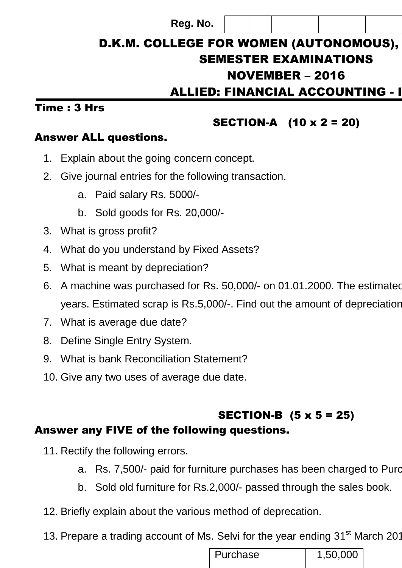# D.K.M. COLLEGE FOR WOMEN (AUTONOMOUS), SEMESTER EXAMINATIONS  $NOVEMBER - 2016$ ALLIED: FINANCIAL ACCOUNTING - I **Reg. No.**

#### Time : 3 Hrs

# SECTION-A (10 x 2 = 20)

## Answer ALL questions.

- 1. Explain about the going concern concept.
- 2. Give journal entries for the following transaction.
	- a. Paid salary Rs. 5000/-
	- b. Sold goods for Rs. 20,000/-
- 3. What is gross profit?
- 4. What do you understand by Fixed Assets?
- 5. What is meant by depreciation?
- 6. A machine was purchased for Rs. 50,000/- on 01.01.2000. The estimated years. Estimated scrap is Rs.5,000/-. Find out the amount of depreciation.
- 7. What is average due date?
- 8. Define Single Entry System.
- 9. What is bank Reconciliation Statement?
- 10. Give any two uses of average due date.

## SECTION-B (5 x 5 = 25) Answer any FIVE of the following questions.

- 11. Rectify the following errors.
	- a. Rs. 7,500/- paid for furniture purchases has been charged to Purc
	- b. Sold old furniture for Rs.2,000/- passed through the sales book.
- 12. Briefly explain about the various method of deprecation.
- 13. Prepare a trading account of Ms. Selvi for the year ending 31<sup>st</sup> March 201

| Purchase | 1,50,000 |
|----------|----------|
|          |          |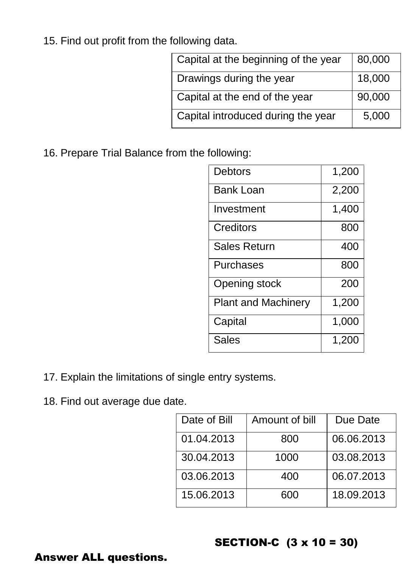15. Find out profit from the following data.

| Capital at the beginning of the year | 80,000 |
|--------------------------------------|--------|
| Drawings during the year             | 18,000 |
| Capital at the end of the year       | 90,000 |
| Capital introduced during the year   | 5,000  |
|                                      |        |

16. Prepare Trial Balance from the following:

| <b>Debtors</b>             | 1,200 |
|----------------------------|-------|
| <b>Bank Loan</b>           | 2,200 |
| Investment                 | 1,400 |
| Creditors                  | 800   |
| <b>Sales Return</b>        | 400   |
| <b>Purchases</b>           | 800   |
| Opening stock              | 200   |
| <b>Plant and Machinery</b> | 1,200 |
| Capital                    | 1,000 |
| <b>Sales</b>               | 1,200 |
|                            |       |

- 17. Explain the limitations of single entry systems.
- 18. Find out average due date.

| Date of Bill | Amount of bill | Due Date   |
|--------------|----------------|------------|
| 01.04.2013   | 800            | 06.06.2013 |
| 30.04.2013   | 1000           | 03.08.2013 |
| 03.06.2013   | 400            | 06.07.2013 |
| 15.06.2013   | 600            | 18.09.2013 |

## SECTION-C (3 x 10 = 30)

#### Answer ALL questions.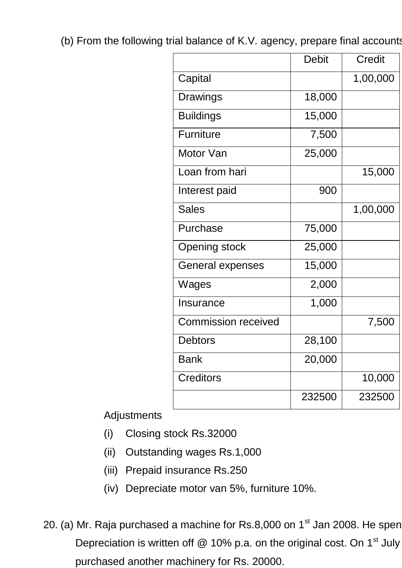(b) From the following trial balance of K.V. agency, prepare final accounts

|                            | Debit               | Credit   |
|----------------------------|---------------------|----------|
| Capital                    |                     | 1,00,000 |
| Drawings                   | 18,000              |          |
| <b>Buildings</b>           | 15,000              |          |
| <b>Furniture</b>           | 7,500               |          |
| Motor Van                  | 25,000              |          |
| Loan from hari             |                     | 15,000   |
| Interest paid              | 900                 |          |
| <b>Sales</b>               |                     | 1,00,000 |
| Purchase                   | 75,000              |          |
| <b>Opening stock</b>       | 25,000              |          |
| General expenses           | 15,000              |          |
| Wages                      | 2,000               |          |
| Insurance                  | 1,000               |          |
| <b>Commission received</b> |                     | 7,500    |
| Debtors                    | 28,100              |          |
| <b>Bank</b>                | $\overline{20,000}$ |          |
| <b>Creditors</b>           |                     | 10,000   |
|                            | 232500              | 232500   |

Adjustments

- (i) Closing stock Rs.32000
- (ii) Outstanding wages Rs.1,000
- (iii) Prepaid insurance Rs.250
- (iv) Depreciate motor van 5%, furniture 10%.
- 20. (a) Mr. Raja purchased a machine for Rs.8,000 on  $1<sup>st</sup>$  Jan 2008. He spen Depreciation is written off  $@$  10% p.a. on the original cost. On 1<sup>st</sup> July purchased another machinery for Rs. 20000.